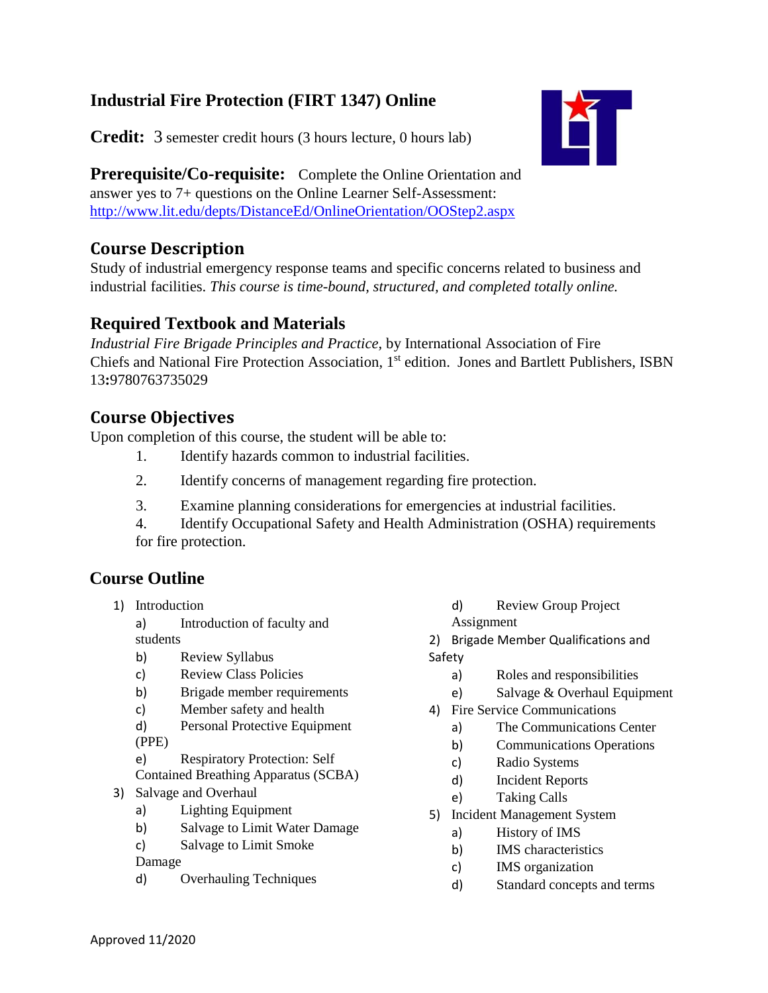## **Industrial Fire Protection (FIRT 1347) Online**

**Credit:** 3 semester credit hours (3 hours lecture, 0 hours lab)



**Prerequisite/Co-requisite:** Complete the Online Orientation and answer yes to 7+ questions on the Online Learner Self-Assessment: <http://www.lit.edu/depts/DistanceEd/OnlineOrientation/OOStep2.aspx>

## **Course Description**

Study of industrial emergency response teams and specific concerns related to business and industrial facilities. *This course is time-bound, structured, and completed totally online.* 

## **Required Textbook and Materials**

*Industrial Fire Brigade Principles and Practice,* by International Association of Fire Chiefs and National Fire Protection Association, 1st edition. Jones and Bartlett Publishers, ISBN 13**:**9780763735029

## **Course Objectives**

Upon completion of this course, the student will be able to:

- 1. Identify hazards common to industrial facilities.
- 2. Identify concerns of management regarding fire protection.
- 3. Examine planning considerations for emergencies at industrial facilities.
- 4. Identify Occupational Safety and Health Administration (OSHA) requirements for fire protection.

# **Course Outline**

1) Introduction

a) Introduction of faculty and students

- b) Review Syllabus
- c) Review Class Policies
- b) Brigade member requirements
- c) Member safety and health
- d) Personal Protective Equipment (PPE)

e) Respiratory Protection: Self

Contained Breathing Apparatus (SCBA)

- 3) Salvage and Overhaul
	- a) Lighting Equipment
	- b) Salvage to Limit Water Damage
	- c) Salvage to Limit Smoke

Damage

d) Overhauling Techniques

- d) Review Group Project Assignment
- 2) Brigade Member Qualifications and

Safety

- a) Roles and responsibilities
- e) Salvage & Overhaul Equipment
- 4) Fire Service Communications
	- a) The Communications Center
	- b) Communications Operations
	- c) Radio Systems
	- d) Incident Reports
	- e) Taking Calls
- 5) Incident Management System
	- a) History of IMS
	- b) IMS characteristics
	- c) IMS organization
	- d) Standard concepts and terms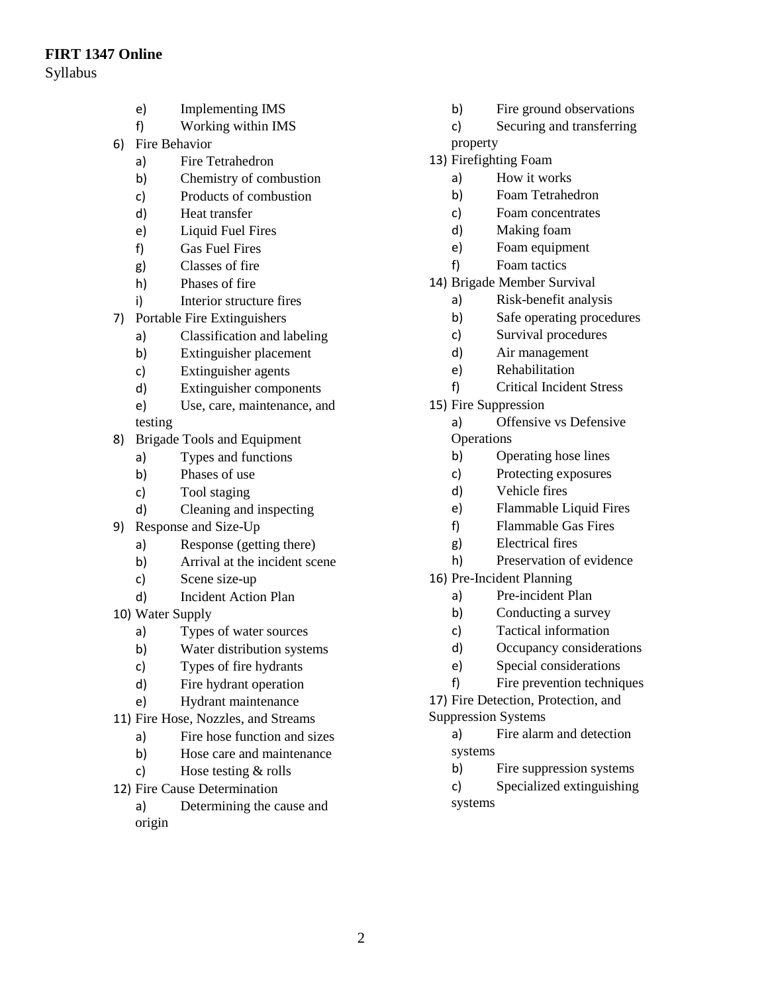#### **FIRT 1347 Online**

- Syllabus
- e) Implementing IMS
- f) Working within IMS
- 6) Fire Behavior
	- a) Fire Tetrahedron
	- b) Chemistry of combustion
	- c) Products of combustion
	- d) Heat transfer
	- e) Liquid Fuel Fires
	- f) Gas Fuel Fires
	- g) Classes of fire
	- h) Phases of fire
	- i) Interior structure fires
- 7) Portable Fire Extinguishers
	- a) Classification and labeling
	- b) Extinguisher placement
	- c) Extinguisher agents
	- d) Extinguisher components
	- e) Use, care, maintenance, and
	- testing
- 8) Brigade Tools and Equipment
	- a) Types and functions
	- b) Phases of use
	- c) Tool staging
	- d) Cleaning and inspecting
- 9) Response and Size-Up
	- a) Response (getting there)
	- b) Arrival at the incident scene
	- c) Scene size-up
	- d) Incident Action Plan
- 10) Water Supply
	- a) Types of water sources
	- b) Water distribution systems
	- c) Types of fire hydrants
	- d) Fire hydrant operation
	- e) Hydrant maintenance
- 11) Fire Hose, Nozzles, and Streams
	- a) Fire hose function and sizes
	- b) Hose care and maintenance
	- c) Hose testing & rolls
- 12) Fire Cause Determination
	- a) Determining the cause and
- b) Fire ground observations
- c) Securing and transferring
- property
- 13) Firefighting Foam
	- a) How it works
	- b) Foam Tetrahedron
	- c) Foam concentrates
	- d) Making foam
	- e) Foam equipment
	- f) Foam tactics
- 14) Brigade Member Survival
	- a) Risk-benefit analysis
	- b) Safe operating procedures
	- c) Survival procedures
	- d) Air management
	- e) Rehabilitation
	- f) Critical Incident Stress
- 15) Fire Suppression
	- a) Offensive vs Defensive **Operations**
	- b) Operating hose lines
	- c) Protecting exposures
	- d) Vehicle fires
	- e) Flammable Liquid Fires
	- f) Flammable Gas Fires
	- g) Electrical fires
	- h) Preservation of evidence
- 16) Pre-Incident Planning
	- a) Pre-incident Plan
	- b) Conducting a survey
	- c) Tactical information
	- d) Occupancy considerations
	- e) Special considerations
	- f) Fire prevention techniques

17) Fire Detection, Protection, and

- Suppression Systems
	- a) Fire alarm and detection systems
		- b) Fire suppression systems
	- c) Specialized extinguishing systems

origin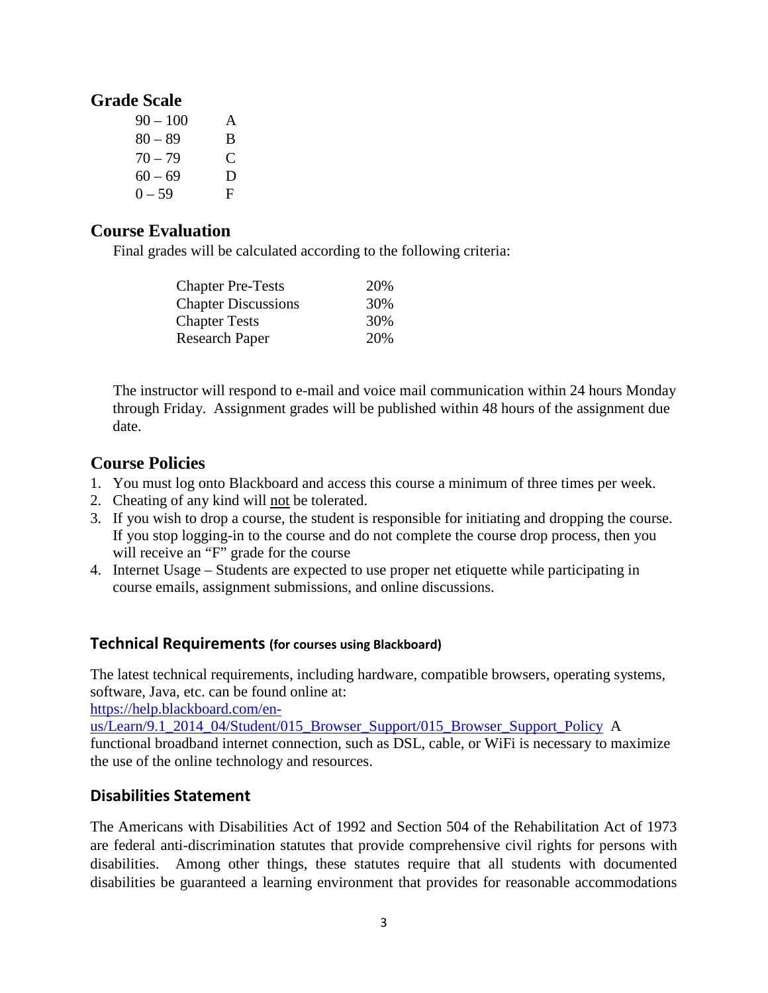## **Grade Scale**

| $90 - 100$ | A |
|------------|---|
| $80 - 89$  | B |
| $70 - 79$  | € |
| $60 - 69$  | D |
| $0 - 59$   | F |

#### **Course Evaluation**

Final grades will be calculated according to the following criteria:

| <b>Chapter Pre-Tests</b>   | 20% |
|----------------------------|-----|
| <b>Chapter Discussions</b> | 30% |
| <b>Chapter Tests</b>       | 30% |
| <b>Research Paper</b>      | 20% |

The instructor will respond to e-mail and voice mail communication within 24 hours Monday through Friday. Assignment grades will be published within 48 hours of the assignment due date.

## **Course Policies**

- 1. You must log onto Blackboard and access this course a minimum of three times per week.
- 2. Cheating of any kind will not be tolerated.
- 3. If you wish to drop a course, the student is responsible for initiating and dropping the course. If you stop logging-in to the course and do not complete the course drop process, then you will receive an "F" grade for the course
- 4. Internet Usage Students are expected to use proper net etiquette while participating in course emails, assignment submissions, and online discussions.

#### **Technical Requirements (for courses using Blackboard)**

The latest technical requirements, including hardware, compatible browsers, operating systems, software, Java, etc. can be found online at:

[https://help.blackboard.com/en-](https://help.blackboard.com/en-us/Learn/9.1_2014_04/Student/015_Browser_Support/015_Browser_Support_Policy)

[us/Learn/9.1\\_2014\\_04/Student/015\\_Browser\\_Support/015\\_Browser\\_Support\\_Policy](https://help.blackboard.com/en-us/Learn/9.1_2014_04/Student/015_Browser_Support/015_Browser_Support_Policy) A functional broadband internet connection, such as DSL, cable, or WiFi is necessary to maximize the use of the online technology and resources.

### **Disabilities Statement**

The Americans with Disabilities Act of 1992 and Section 504 of the Rehabilitation Act of 1973 are federal anti-discrimination statutes that provide comprehensive civil rights for persons with disabilities. Among other things, these statutes require that all students with documented disabilities be guaranteed a learning environment that provides for reasonable accommodations